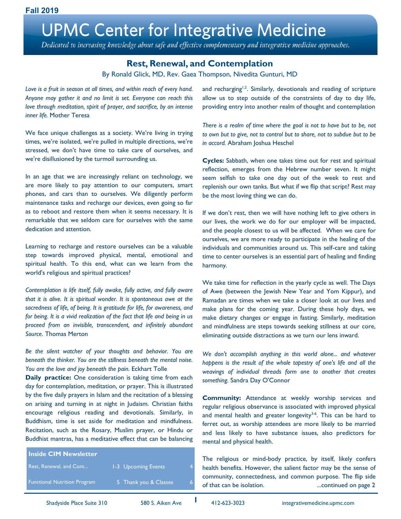Dedicated to increasing knowledge about safe and effective complementary and integrative medicine approaches.

## **Rest, Renewal, and Contemplation**

By Ronald Glick, MD, Rev. Gaea Thompson, Nivedita Gunturi, MD

*Love is a fruit in [season](https://en.wikiquote.org/wiki/Season) at all times, and within reach of every hand. Anyone may gather it and no limit is set. Everyone can reach this love through [meditation,](https://en.wikiquote.org/wiki/Meditation) [spirit](https://en.wikiquote.org/wiki/Spirit) of [prayer,](https://en.wikiquote.org/wiki/Prayer) and sacrifice, by an intense inner life.* Mother Teresa

We face unique challenges as a society. We're living in trying times, we're isolated, we're pulled in multiple directions, we're stressed, we don't have time to take care of ourselves, and we're disillusioned by the turmoil surrounding us.

In an age that we are increasingly reliant on technology, we are more likely to pay attention to our computers, smart phones, and cars than to ourselves. We diligently perform maintenance tasks and recharge our devices, even going so far as to reboot and restore them when it seems necessary. It is remarkable that we seldom care for ourselves with the same dedication and attention.

Learning to recharge and restore ourselves can be a valuable step towards improved physical, mental, emotional and spiritual health. To this end, what can we learn from the world's religious and spiritual practices?

*Contemplation is life itself, fully awake, fully active, and fully aware that it is alive. It is spiritual wonder. It is spontaneous awe at the sacredness of life, of being. It is gratitude for life, for awareness, and for being. It is a vivid realization of the fact that life and being in us proceed from an invisible, transcendent, and infinitely abundant Source*. Thomas Merton

*Be the silent watcher of your thoughts and behavior. You are beneath the thinker. You are the stillness beneath the mental noise. You are the love and joy beneath the pain.* Eckhart Tolle

**Daily practice:** One consideration is taking time from each day for contemplation, meditation, or prayer. This is illustrated by the five daily prayers in Islam and the recitation of a blessing on arising and turning in at night in Judaism. Christian faiths encourage religious reading and devotionals. Similarly, in Buddhism, time is set aside for meditation and mindfulness. Recitation, such as the Rosary, Muslim prayer, or Hindu or Buddhist mantras, has a meditative effect that can be balancing

| <b>Inside CIM Newsletter</b>        |                            |   |
|-------------------------------------|----------------------------|---|
| Rest, Renewal, and Cont             | <b>1-3 Upcoming Events</b> |   |
| <b>Functional Nutrition Program</b> | 5 Thank you & Classes      | 6 |
|                                     |                            |   |

and recharging<sup>1,2</sup>. Similarly, devotionals and reading of scripture allow us to step outside of the constraints of day to day life, providing entry into another realm of thought and contemplation

*There is a realm of [time](https://en.wikiquote.org/wiki/Time) where the goal is not to have but to be, not to [own](https://en.wikiquote.org/wiki/Own) but to [give,](https://en.wikiquote.org/wiki/Give) not to [control](https://en.wikiquote.org/wiki/Control) but to share, not to subdue but to be in [accord.](https://en.wikiquote.org/wiki/Accord)* Abraham Joshua Heschel

**Cycles:** Sabbath, when one takes time out for rest and spiritual reflection, emerges from the Hebrew number seven. It might seem selfish to take one day out of the week to rest and replenish our own tanks. But what if we flip that script? Rest may be the most loving thing we can do.

If we don't rest, then we will have nothing left to give others in our lives, the work we do for our employer will be impacted, and the people closest to us will be affected. When we care for ourselves, we are more ready to participate in the healing of the individuals and communities around us. This self-care and taking time to center ourselves is an essential part of healing and finding harmony.

We take time for reflection in the yearly cycle as well. The Days of Awe (between the Jewish New Year and Yom Kippur), and Ramadan are times when we take a closer look at our lives and make plans for the coming year. During these holy days, we make dietary changes or engage in fasting. Similarly, meditation and mindfulness are steps towards seeking stillness at our core, eliminating outside distractions as we turn our lens inward.

*We don't accomplish anything in this world alone... and whatever happens is the result of the whole tapestry of one's life and all the weavings of individual threads form one to another that creates something.* Sandra Day O'Connor

**Community:** Attendance at weekly worship services and regular religious observance is associated with improved physical and mental health and greater longevity<sup>3-6</sup>. This can be hard to ferret out, as worship attendees are more likely to be married and less likely to have substance issues, also predictors for mental and physical health.

The religious or mind-body practice, by itself, likely confers health benefits. However, the salient factor may be the sense of community, connectedness, and common purpose. The flip side of that can be isolation. ...continued on page 2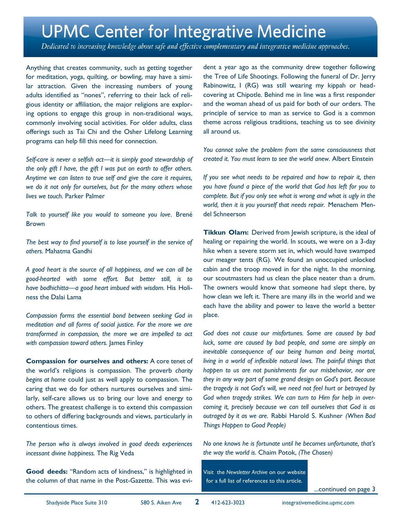Dedicated to increasing knowledge about safe and effective complementary and integrative medicine approaches.

Anything that creates community, such as getting together for meditation, yoga, quilting, or bowling, may have a similar attraction. Given the increasing numbers of young adults identified as "nones", referring to their lack of religious identity or affiliation, the major religions are exploring options to engage this group in non-traditional ways, commonly involving social activities. For older adults, class offerings such as Tai Chi and the Osher Lifelong Learning programs can help fill this need for connection.

*Self-care is never a selfish act—it is simply good stewardship of the only gift I have, the gift I was put on earth to offer others. Anytime we can listen to true self and give the care it requires, we do it not only for ourselves, but for the many others whose lives we touch.* Parker Palmer

*Talk to yourself like you would to someone you love*. Brené Brown

*The best way to find yourself is to lose yourself in the service of others.* Mahatma Gandhi

*A good heart is the source of all happiness, and we can all be good-hearted with some effort. But better still, is to have bodhichitta—a good heart imbued with wisdom.* His Holiness the Dalai Lama

*Compassion forms the essential bond between seeking God in meditation and all forms of social justice. For the more we are transformed in compassion, the more we are impelled to act with compassion toward others.* James Finley

**Compassion for ourselves and others:** A core tenet of the world's religions is compassion. The proverb *charity begins at home* could just as well apply to compassion. The caring that we do for others nurtures ourselves and similarly, self-care allows us to bring our love and energy to others. The greatest challenge is to extend this compassion to others of differing backgrounds and views, particularly in contentious times.

*The person who is always involved in good deeds experiences incessant divine happiness.* The Rig Veda

**Good deeds:** "Random acts of kindness," is highlighted in the column of that name in the Post-Gazette. This was evident a year ago as the community drew together following the Tree of Life Shootings. Following the funeral of Dr. Jerry Rabinowitz, I (RG) was still wearing my kippah or headcovering at Chipotle. Behind me in line was a first responder and the woman ahead of us paid for both of our orders. The principle of service to man as service to God is a common theme across religious traditions, teaching us to see divinity all around us.

*You cannot solve the problem from the same consciousness that created it. You must learn to see the world anew.* Albert Einstein

*If you see what needs to be repaired and how to repair it, then you have found a piece of the world that God has left for you to complete. But if you only see what is wrong and what is ugly in the world, then it is you yourself that needs repair.* Menachem Mendel Schneerson

**Tikkun Olam:** Derived from Jewish scripture, is the ideal of healing or repairing the world. In scouts, we were on a 3-day hike when a severe storm set in, which would have swamped our meager tents (RG). We found an unoccupied unlocked cabin and the troop moved in for the night. In the morning, our scoutmasters had us clean the place neater than a drum. The owners would know that someone had slept there, by how clean we left it. There are many ills in the world and we each have the ability and power to leave the world a better place.

*God does not cause our misfortunes. Some are caused by bad luck, some are caused by bad people, and some are simply an inevitable consequence of our being human and being mortal, living in a world of inflexible natural laws. The painful things that happen to us are not punishments for our misbehavior, nor are they in any way part of some grand design on God's part. Because the tragedy is not God's will, we need not feel hurt or betrayed by God when tragedy strikes. We can turn to Him for help in overcoming it, precisely because we can tell ourselves that God is as outraged by it as we are.* Rabbi Harold S. Kushner *(When Bad Things Happen to Good People)*

*No one knows he is fortunate until he becomes unfortunate, that's the way the world is.* Chaim Potok, *(The Chosen)*

Visit the *Newsletter Archive* on our website for a full list of references to this article.

...continued on page 3

**2**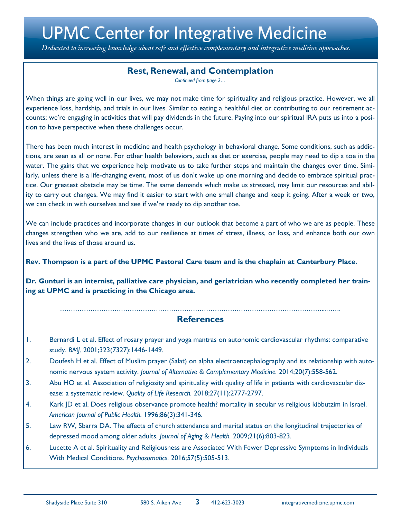Dedicated to increasing knowledge about safe and effective complementary and integrative medicine approaches.

## **Rest, Renewal, and Contemplation**

*Continued from page 2…*

When things are going well in our lives, we may not make time for spirituality and religious practice. However, we all experience loss, hardship, and trials in our lives. Similar to eating a healthful diet or contributing to our retirement accounts; we're engaging in activities that will pay dividends in the future. Paying into our spiritual IRA puts us into a position to have perspective when these challenges occur.

There has been much interest in medicine and health psychology in behavioral change. Some conditions, such as addictions, are seen as all or none. For other health behaviors, such as diet or exercise, people may need to dip a toe in the water. The gains that we experience help motivate us to take further steps and maintain the changes over time. Similarly, unless there is a life-changing event, most of us don't wake up one morning and decide to embrace spiritual practice. Our greatest obstacle may be time. The same demands which make us stressed, may limit our resources and ability to carry out changes. We may find it easier to start with one small change and keep it going. After a week or two, we can check in with ourselves and see if we're ready to dip another toe.

We can include practices and incorporate changes in our outlook that become a part of who we are as people. These changes strengthen who we are, add to our resilience at times of stress, illness, or loss, and enhance both our own lives and the lives of those around us.

**Rev. Thompson is a part of the UPMC Pastoral Care team and is the chaplain at Canterbury Place.**

**Dr. Gunturi is an internist, palliative care physician, and geriatrician who recently completed her training at UPMC and is practicing in the Chicago area.**

### …………………………………………………………………………………………………………...……. **References**

- 1. Bernardi L et al. Effect of rosary prayer and yoga mantras on autonomic cardiovascular rhythms: comparative study. *BMJ.* 2001;323(7327):1446-1449.
- 2. Doufesh H et al. Effect of Muslim prayer (Salat) on alpha electroencephalography and its relationship with autonomic nervous system activity. *Journal of Alternative & Complementary Medicine.* 2014;20(7):558-562.
- 3. Abu HO et al. Association of religiosity and spirituality with quality of life in patients with cardiovascular disease: a systematic review. *Quality of Life Research.* 2018;27(11):2777-2797.
- 4. Kark JD et al. Does religious observance promote health? mortality in secular vs religious kibbutzim in Israel. *American Journal of Public Health.* 1996;86(3):341-346.
- 5. Law RW, Sbarra DA. The effects of church attendance and marital status on the longitudinal trajectories of depressed mood among older adults. *Journal of Aging & Health.* 2009;21(6):803-823.
- 6. Lucette A et al. Spirituality and Religiousness are Associated With Fewer Depressive Symptoms in Individuals With Medical Conditions. *Psychosomatics.* 2016;57(5):505-513.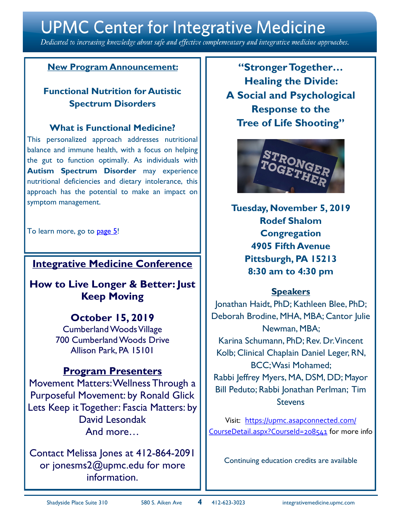Dedicated to increasing knowledge about safe and effective complementary and integrative medicine approaches.

## **New Program Announcement:**

## **Functional Nutrition for Autistic Spectrum Disorders**

### **What is Functional Medicine?**

This personalized approach addresses nutritional balance and immune health, with a focus on helping the gut to function optimally. As individuals with **Autism Spectrum Disorder** may experience nutritional deficiencies and dietary intolerance, this approach has the potential to make an impact on symptom management.

To learn more, go to [page 5!](#page-4-0)

## **Integrative Medicine Conference**

**How to Live Longer & Better: Just Keep Moving**

## **October 15, 2019**

Cumberland Woods Village 700 Cumberland Woods Drive Allison Park, PA 15101

## **Program Presenters**

Movement Matters: Wellness Through a Purposeful Movement: by Ronald Glick Lets Keep it Together: Fascia Matters: by David Lesondak And more…

Contact Melissa Jones at 412-864-2091 or jonesms2@upmc.edu for more information.

**"Stronger Together… Healing the Divide: A Social and Psychological Response to the Tree of Life Shooting"**



**Tuesday, November 5, 2019 Rodef Shalom Congregation 4905 Fifth Avenue Pittsburgh, PA 15213 8:30 am to 4:30 pm**

## **Speakers**

Jonathan Haidt, PhD; Kathleen Blee, PhD; Deborah Brodine, MHA, MBA; Cantor Julie Newman, MBA; Karina Schumann, PhD; Rev. Dr. Vincent Kolb; Clinical Chaplain Daniel Leger, RN, BCC; Wasi Mohamed; Rabbi Jeffrey Myers, MA, DSM, DD; Mayor Bill Peduto; Rabbi Jonathan Perlman; Tim **Stevens** 

Visit: [https://upmc.asapconnected.com/](https://upmc.asapconnected.com/CourseDetail.aspx?CourseId=208541) [CourseDetail.aspx?CourseId=208541](https://upmc.asapconnected.com/CourseDetail.aspx?CourseId=208541) for more info

Continuing education credits are available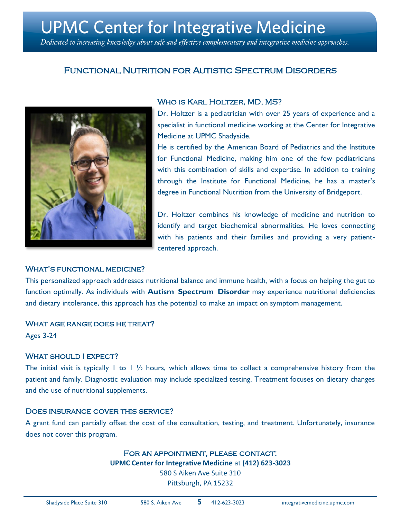<span id="page-4-0"></span>Dedicated to increasing knowledge about safe and effective complementary and integrative medicine approaches.

## Functional Nutrition for Autistic Spectrum Disorders



### WHO IS KARL HOLTZER, MD, MS?

Dr. Holtzer is a pediatrician with over 25 years of experience and a specialist in functional medicine working at the Center for Integrative Medicine at UPMC Shadyside.

He is certified by the American Board of Pediatrics and the Institute for Functional Medicine, making him one of the few pediatricians with this combination of skills and expertise. In addition to training through the Institute for Functional Medicine, he has a master's degree in Functional Nutrition from the University of Bridgeport.

Dr. Holtzer combines his knowledge of medicine and nutrition to identify and target biochemical abnormalities. He loves connecting with his patients and their families and providing a very patientcentered approach.

### WHAT'S FUNCTIONAL MEDICINE?

This personalized approach addresses nutritional balance and immune health, with a focus on helping the gut to function optimally. As individuals with **Autism Spectrum Disorder** may experience nutritional deficiencies and dietary intolerance, this approach has the potential to make an impact on symptom management.

### What age range does he treat?

Ages 3-24

### WHAT SHOULD I EXPECT?

The initial visit is typically 1 to 1  $\frac{1}{2}$  hours, which allows time to collect a comprehensive history from the patient and family. Diagnostic evaluation may include specialized testing. Treatment focuses on dietary changes and the use of nutritional supplements.

### Does insurance cover this service?

A grant fund can partially offset the cost of the consultation, testing, and treatment. Unfortunately, insurance does not cover this program.

### For an appointment, please contact:

**UPMC Center for Integrative Medicine** at **(412) 623-3023**

580 S Aiken Ave Suite 310 Pittsburgh, PA 15232